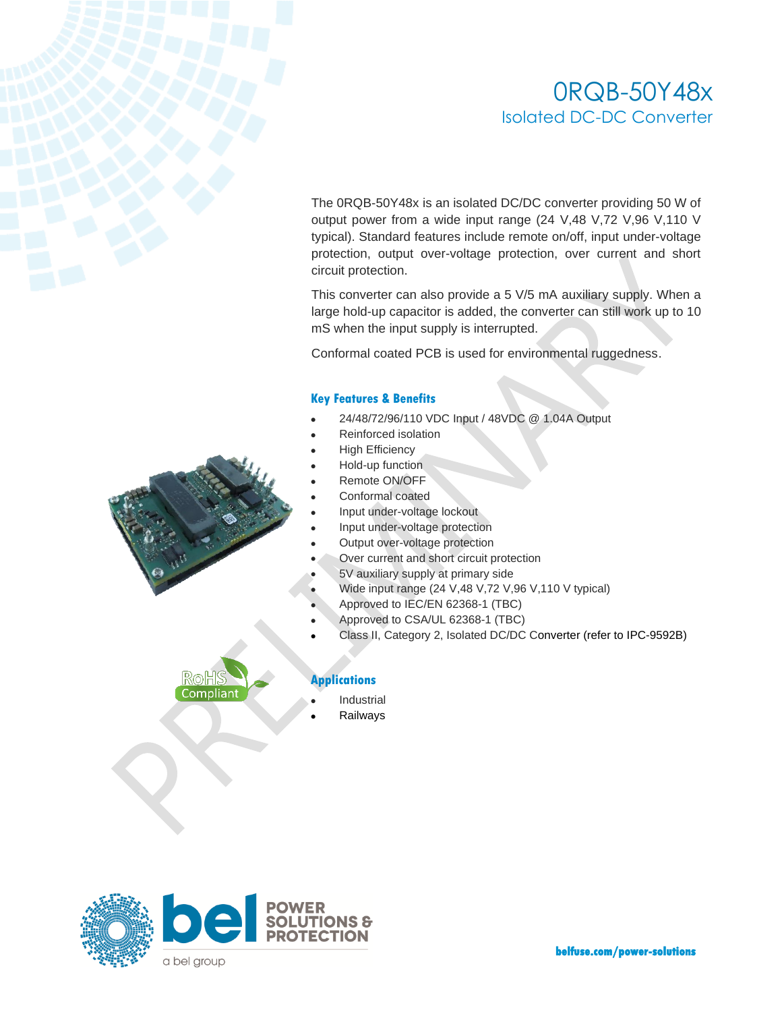## 0RQB-50Y48x Isolated DC-DC Converter

The 0RQB-50Y48x is an isolated DC/DC converter providing 50 W of output power from a wide input range (24 V,48 V,72 V,96 V,110 V typical). Standard features include remote on/off, input under-voltage protection, output over-voltage protection, over current and short circuit protection.

This converter can also provide a 5 V/5 mA auxiliary supply. When a large hold-up capacitor is added, the converter can still work up to 10 mS when the input supply is interrupted.

Conformal coated PCB is used for environmental ruggedness.

### **Key Features & Benefits**

- 24/48/72/96/110 VDC Input / 48VDC @ 1.04A Output
- Reinforced isolation
- **High Efficiency**
- Hold-up function
- Remote ON/OFF
- Conformal coated
- Input under-voltage lockout
- Input under-voltage protection
- Output over-voltage protection
- Over current and short circuit protection
- 5V auxiliary supply at primary side
- Wide input range (24 V,48 V,72 V,96 V,110 V typical)
- Approved to IEC/EN 62368-1 (TBC)
- Approved to CSA/UL 62368-1 (TBC)
- Class II, Category 2, Isolated DC/DC Converter (refer to IPC-9592B)



### **Applications**

- **Industrial**
- **Railways**



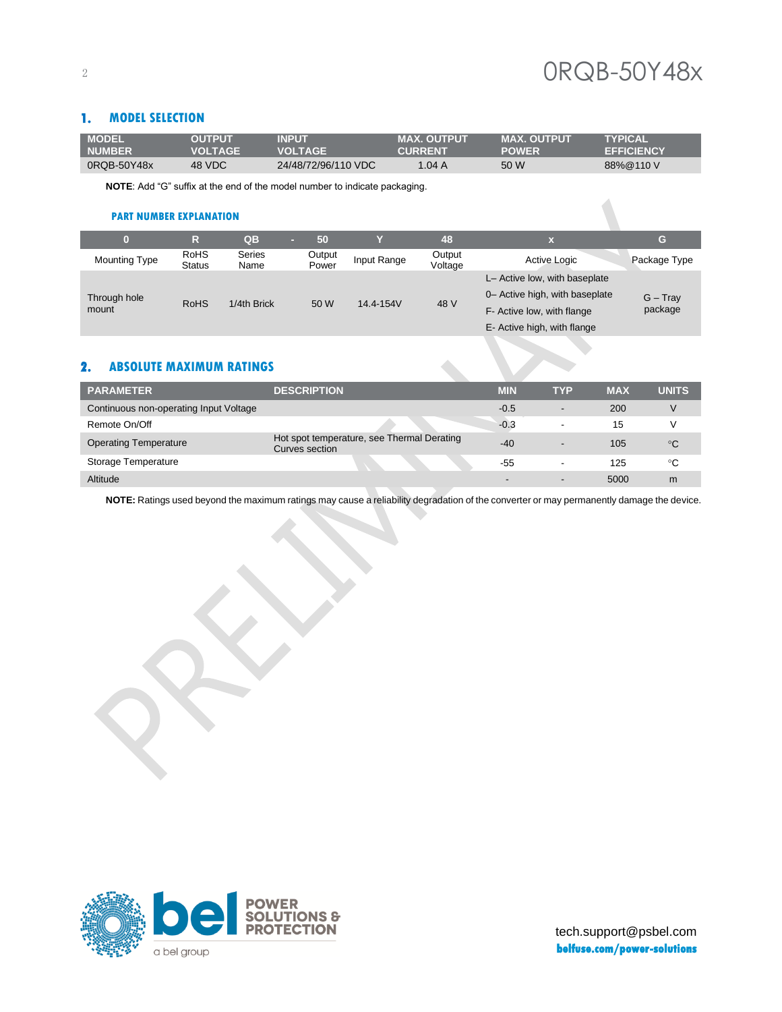### **1. MODEL SELECTION**

| <b>MODEL</b>  | <b>OUTPUT</b>  | <b>INPUT</b>        | <b>MAX. OUTPUT</b> | <b>MAX. OUTPUT</b> | <b>TYPICAL</b>    |
|---------------|----------------|---------------------|--------------------|--------------------|-------------------|
| <b>NUMBER</b> | <b>VOLTAGE</b> | VOI TAGF            | <b>CURRENT</b>     | <b>POWER</b>       | <b>EFFICIENCY</b> |
| 0RQB-50Y48x   | 48 VDC         | 24/48/72/96/110 VDC | 1.04A              | 50 W               | 88%@110V          |

**NOTE**: Add "G" suffix at the end of the model number to indicate packaging.

#### **PART NUMBER EXPLANATION**

|               | R                            | QB             | 50              |             | 48                | х                                                               | $\mathsf{C}$ |
|---------------|------------------------------|----------------|-----------------|-------------|-------------------|-----------------------------------------------------------------|--------------|
| Mounting Type | <b>RoHS</b><br><b>Status</b> | Series<br>Name | Output<br>Power | Input Range | Output<br>Voltage | <b>Active Logic</b>                                             | Package Type |
| Through hole  |                              |                |                 |             |                   | L- Active low, with baseplate<br>0- Active high, with baseplate | $G - Tray$   |
| mount         | <b>RoHS</b>                  | 1/4th Brick    | 50 W            | 14.4-154V   | 48 V              | F- Active low, with flange                                      | package      |
|               |                              |                |                 |             |                   | E- Active high, with flange                                     |              |

### **2. ABSOLUTE MAXIMUM RATINGS**

| <b>PARAMETER</b>                       | <b>DESCRIPTION</b>                                           | <b>MIN</b>               | <b>TYP</b>               | <b>MAX</b> | <b>UNITS</b>    |
|----------------------------------------|--------------------------------------------------------------|--------------------------|--------------------------|------------|-----------------|
| Continuous non-operating Input Voltage |                                                              | $-0.5$                   | $\overline{\phantom{a}}$ | 200        | V               |
| Remote On/Off                          |                                                              | $-0.3$                   |                          | 15         |                 |
| <b>Operating Temperature</b>           | Hot spot temperature, see Thermal Derating<br>Curves section | $-40$                    |                          | 105        | $\rm ^{\circ}C$ |
| Storage Temperature                    |                                                              | -55                      | $\overline{\phantom{a}}$ | 125        | °C              |
| Altitude                               |                                                              | $\overline{\phantom{0}}$ |                          | 5000       | m               |

**NOTE:** Ratings used beyond the maximum ratings may cause a reliability degradation of the converter or may permanently damage the device.

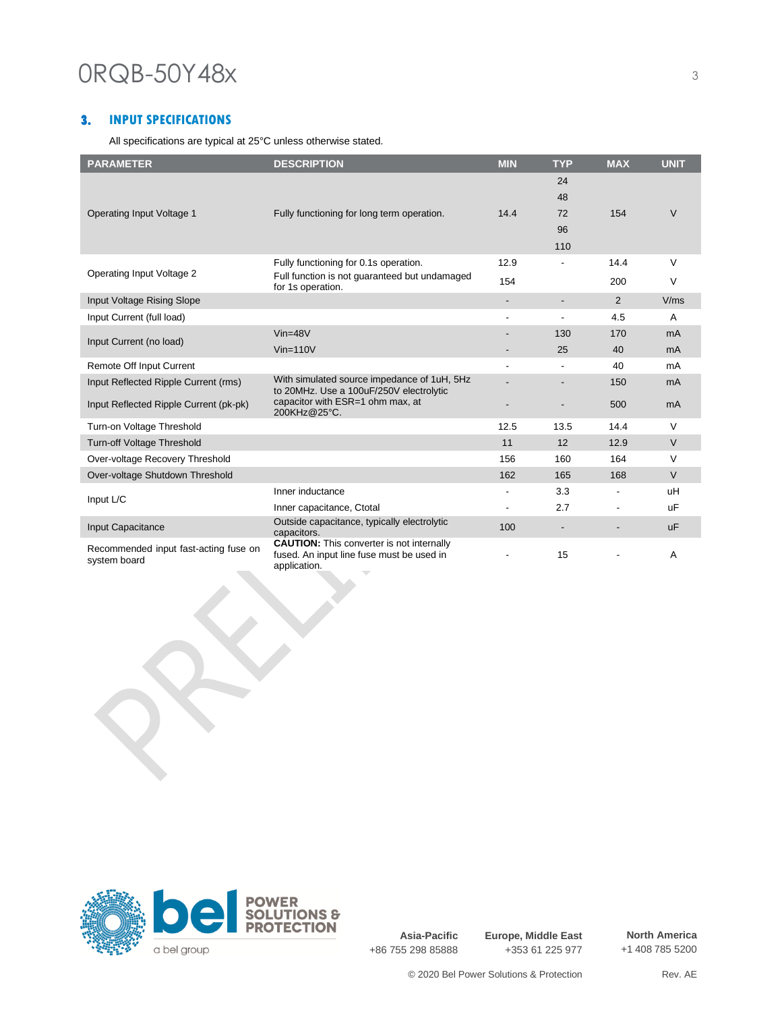# $ORQB-50Y48x$   $\qquad \qquad$   $\qquad \qquad$   $\qquad \qquad$   $\qquad \qquad$   $\qquad \qquad$   $\qquad \qquad$   $\qquad \qquad$   $\qquad \qquad$   $\qquad \qquad$   $\qquad \qquad$   $\qquad \qquad$   $\qquad \qquad$   $\qquad \qquad$   $\qquad \qquad$   $\qquad \qquad$   $\qquad \qquad$   $\qquad \qquad$   $\qquad \qquad$   $\qquad \qquad$   $\qquad \qquad$   $\qquad \qquad$   $\qquad \qquad$   $\qquad \qquad \qquad$

### **3. INPUT SPECIFICATIONS**

All specifications are typical at 25°C unless otherwise stated.

| <b>PARAMETER</b>                                      | <b>DESCRIPTION</b>                                                                                            | <b>MIN</b>               | <b>TYP</b>               | <b>MAX</b>     | <b>UNIT</b>    |
|-------------------------------------------------------|---------------------------------------------------------------------------------------------------------------|--------------------------|--------------------------|----------------|----------------|
|                                                       |                                                                                                               |                          | 24                       |                |                |
|                                                       |                                                                                                               |                          | 48                       |                |                |
| Operating Input Voltage 1                             | Fully functioning for long term operation.                                                                    | 14.4                     | 72                       | 154            | $\vee$         |
|                                                       |                                                                                                               |                          | 96                       |                |                |
|                                                       |                                                                                                               |                          | 110                      |                |                |
|                                                       | Fully functioning for 0.1s operation.                                                                         | 12.9                     |                          | 14.4           | $\vee$         |
| Operating Input Voltage 2                             | Full function is not quaranteed but undamaged<br>for 1s operation.                                            | 154                      |                          | 200            | $\vee$         |
| Input Voltage Rising Slope                            |                                                                                                               | $\overline{\phantom{a}}$ |                          | 2              | V/ms           |
| Input Current (full load)                             |                                                                                                               | $\overline{\phantom{a}}$ | $\overline{\phantom{a}}$ | 4.5            | $\overline{A}$ |
| Input Current (no load)                               | $Vin=48V$                                                                                                     | $\overline{\phantom{a}}$ | 130                      | 170            | mA             |
|                                                       | $Vin=110V$                                                                                                    | $\overline{\phantom{a}}$ | 25                       | 40             | mA             |
| Remote Off Input Current                              |                                                                                                               | $\blacksquare$           | $\blacksquare$           | 40             | mA             |
| Input Reflected Ripple Current (rms)                  | With simulated source impedance of 1uH, 5Hz<br>to 20MHz. Use a 100uF/250V electrolytic                        |                          |                          | 150            | mA             |
| Input Reflected Ripple Current (pk-pk)                | capacitor with ESR=1 ohm max, at<br>200KHz@25°C.                                                              |                          |                          | 500            | mA             |
| Turn-on Voltage Threshold                             |                                                                                                               | 12.5                     | 13.5                     | 14.4           | $\vee$         |
| Turn-off Voltage Threshold                            |                                                                                                               | 11                       | 12                       | 12.9           | $\vee$         |
| Over-voltage Recovery Threshold                       |                                                                                                               | 156                      | 160                      | 164            | $\vee$         |
| Over-voltage Shutdown Threshold                       |                                                                                                               | 162                      | 165                      | 168            | $\vee$         |
| Input L/C                                             | Inner inductance                                                                                              | $\blacksquare$           | 3.3                      | $\blacksquare$ | uH             |
|                                                       | Inner capacitance, Ctotal                                                                                     |                          | 2.7                      | ٠              | uF             |
| Input Capacitance                                     | Outside capacitance, typically electrolytic<br>capacitors.                                                    | 100                      | $\overline{\phantom{a}}$ |                | <b>uF</b>      |
| Recommended input fast-acting fuse on<br>system board | <b>CAUTION:</b> This converter is not internally<br>fused. An input line fuse must be used in<br>application. |                          | 15                       |                | A              |



**Asia-Pacific** +86 755 298 85888 **Europe, Middle East** +353 61 225 977

**North America** +1 408 785 5200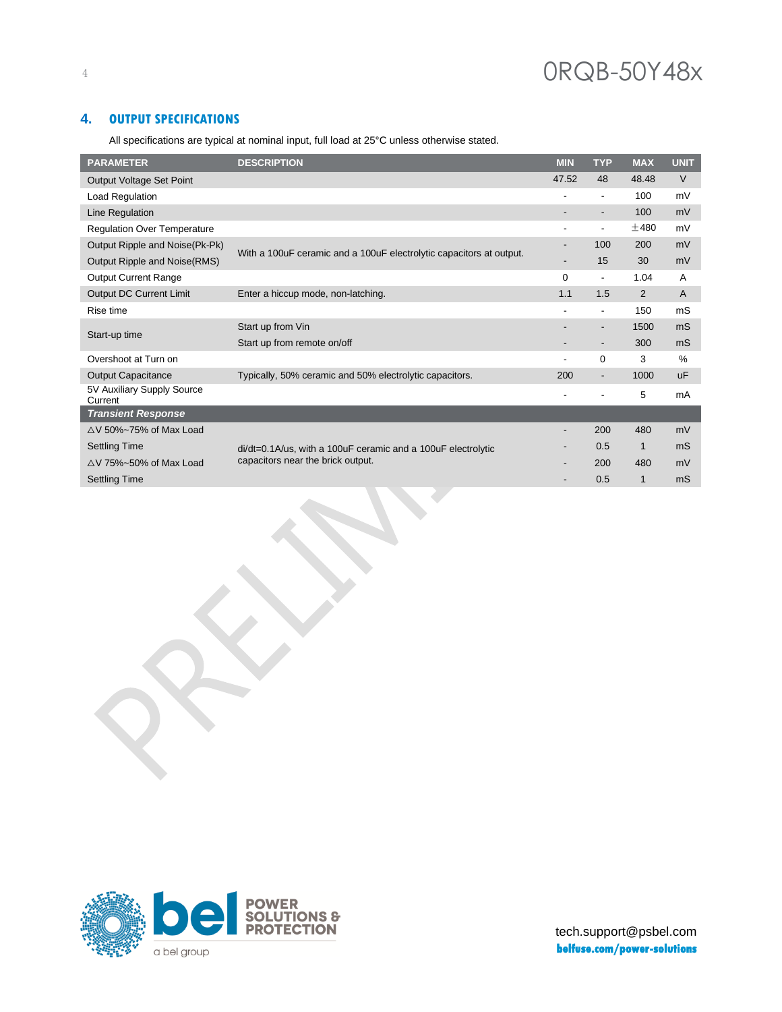### **4. OUTPUT SPECIFICATIONS**

All specifications are typical at nominal input, full load at 25°C unless otherwise stated.

| <b>PARAMETER</b>                      | <b>DESCRIPTION</b>                                                  | <b>MIN</b>               | <b>TYP</b>               | <b>MAX</b>  | <b>UNIT</b>    |
|---------------------------------------|---------------------------------------------------------------------|--------------------------|--------------------------|-------------|----------------|
| Output Voltage Set Point              |                                                                     | 47.52                    | 48                       | 48.48       | $\vee$         |
| Load Regulation                       |                                                                     | $\blacksquare$           | $\blacksquare$           | 100         | mV             |
| Line Regulation                       |                                                                     | $\overline{\phantom{a}}$ |                          | 100         | mV             |
| <b>Regulation Over Temperature</b>    |                                                                     | $\blacksquare$           | $\blacksquare$           | ±480        | mV             |
| Output Ripple and Noise(Pk-Pk)        |                                                                     | $\overline{\phantom{a}}$ | 100                      | 200         | mV             |
| Output Ripple and Noise(RMS)          | With a 100uF ceramic and a 100uF electrolytic capacitors at output. | $\overline{\phantom{a}}$ | 15                       | 30          | mV             |
| <b>Output Current Range</b>           |                                                                     | 0                        | $\overline{\phantom{a}}$ | 1.04        | A              |
| <b>Output DC Current Limit</b>        | Enter a hiccup mode, non-latching.                                  | 1.1                      | 1.5                      | 2           | A              |
| Rise time                             |                                                                     | $\overline{\phantom{a}}$ | $\overline{\phantom{a}}$ | 150         | mS             |
|                                       | Start up from Vin                                                   |                          |                          | 1500        | mS             |
| Start-up time                         | Start up from remote on/off                                         | $\overline{\phantom{a}}$ | $\overline{\phantom{0}}$ | 300         | mS             |
| Overshoot at Turn on                  |                                                                     | $\blacksquare$           | $\Omega$                 | 3           | %              |
| <b>Output Capacitance</b>             | Typically, 50% ceramic and 50% electrolytic capacitors.             | 200                      |                          | 1000        | <b>uF</b>      |
| 5V Auxiliary Supply Source<br>Current |                                                                     |                          |                          | 5           | mA             |
| <b>Transient Response</b>             |                                                                     |                          |                          |             |                |
| $\triangle$ V 50%~75% of Max Load     |                                                                     | $\overline{\phantom{a}}$ | 200                      | 480         | mV             |
| <b>Settling Time</b>                  | di/dt=0.1A/us, with a 100uF ceramic and a 100uF electrolytic        |                          | 0.5                      | $\mathbf 1$ | m <sub>S</sub> |
| $\triangle$ V 75%~50% of Max Load     | capacitors near the brick output.                                   | $\overline{\phantom{0}}$ | 200                      | 480         | mV             |
| <b>Settling Time</b>                  |                                                                     |                          | 0.5                      | $\mathbf 1$ | mS             |

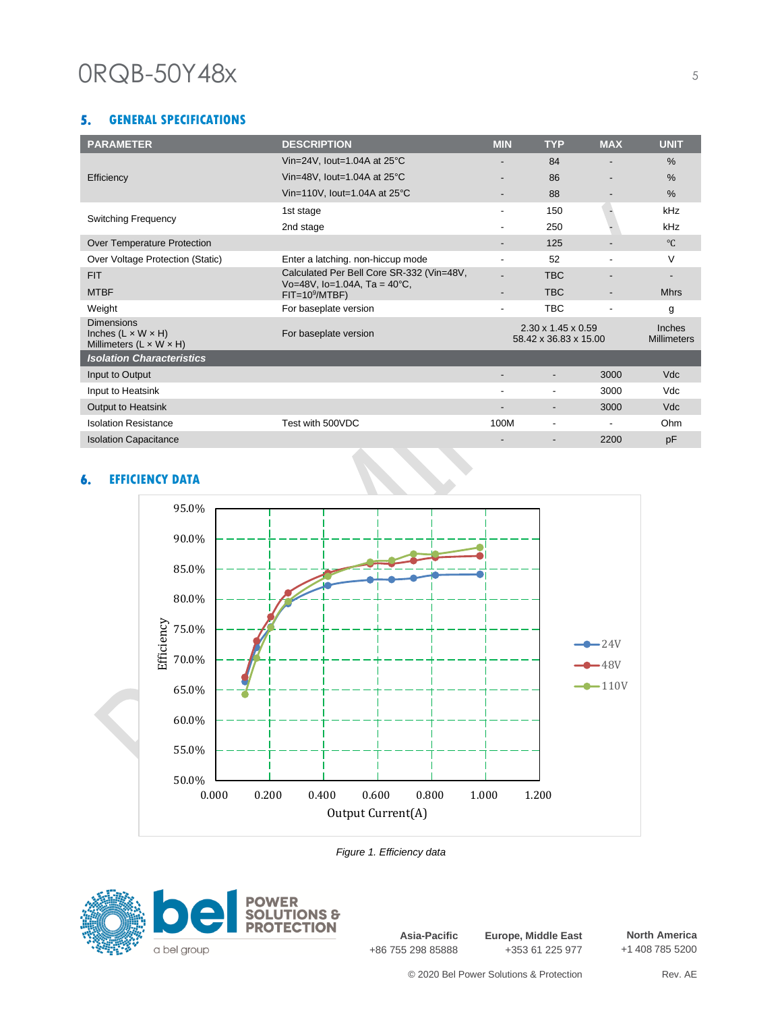## **5. GENERAL SPECIFICATIONS**

| <b>DESCRIPTION</b>                        | <b>MIN</b>                             | <b>TYP</b>               | <b>MAX</b>               | <b>UNIT</b>                                 |
|-------------------------------------------|----------------------------------------|--------------------------|--------------------------|---------------------------------------------|
| Vin=24V, lout=1.04A at 25°C               |                                        | 84                       |                          | $\%$                                        |
| Vin=48V, lout=1.04A at 25°C               |                                        | 86                       |                          | $\frac{0}{0}$                               |
| Vin=110V, lout=1.04A at 25°C              |                                        | 88                       |                          | %                                           |
| 1st stage                                 |                                        | 150                      |                          | kHz                                         |
| 2nd stage                                 |                                        | 250                      |                          | kHz                                         |
|                                           |                                        | 125                      |                          | $\circ$ C                                   |
| Enter a latching. non-hiccup mode         |                                        | 52                       |                          | V                                           |
| Calculated Per Bell Core SR-332 (Vin=48V, |                                        | <b>TBC</b>               |                          |                                             |
| $FI = 109/MTBF$                           | $\overline{\phantom{a}}$               | <b>TBC</b>               | $\overline{\phantom{0}}$ | <b>Mhrs</b>                                 |
| For baseplate version                     | $\overline{\phantom{a}}$               | <b>TBC</b>               | ٠                        | g                                           |
| For baseplate version                     |                                        |                          |                          | <b>Inches</b><br><b>Millimeters</b>         |
|                                           |                                        |                          |                          |                                             |
|                                           |                                        |                          | 3000                     | <b>Vdc</b>                                  |
|                                           |                                        | $\blacksquare$           | 3000                     | Vdc                                         |
|                                           | -                                      | $\overline{\phantom{a}}$ | 3000                     | <b>Vdc</b>                                  |
| Test with 500VDC                          | 100M                                   |                          |                          | Ohm                                         |
|                                           |                                        |                          | 2200                     | pF                                          |
|                                           | Vo=48V, Io=1.04A, Ta = $40^{\circ}$ C, |                          |                          | 2.30 x 1.45 x 0.59<br>58.42 x 36.83 x 15.00 |

### **6. EFFICIENCY DATA**



*Figure 1. Efficiency data*



**Asia-Pacific** +86 755 298 85888 **Europe, Middle East** +353 61 225 977

**North America** +1 408 785 5200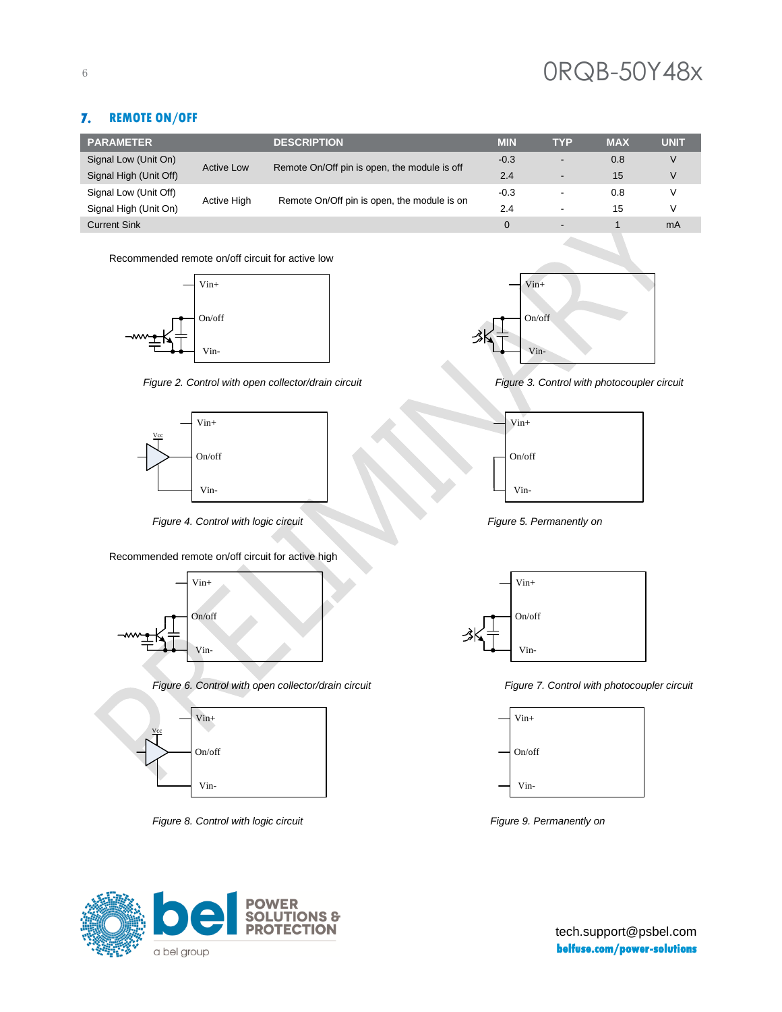# $\overline{\phantom{0}}$  0RQB-50Y48x

### **7. REMOTE ON/OFF**

| <b>PARAMETER</b>       |                   | <b>DESCRIPTION</b>                           | <b>MIN</b> | TYP                      | <b>MAX</b> | <b>UNIT</b> |
|------------------------|-------------------|----------------------------------------------|------------|--------------------------|------------|-------------|
| Signal Low (Unit On)   | <b>Active Low</b> | Remote On/Off pin is open, the module is off | $-0.3$     | -                        | 0.8        | V           |
| Signal High (Unit Off) |                   |                                              | 2.4        | $\overline{\phantom{0}}$ | 15         | V           |
| Signal Low (Unit Off)  |                   |                                              | $-0.3$     | ۰                        | 0.8        | V           |
| Signal High (Unit On)  | Active High       | Remote On/Off pin is open, the module is on  | 2.4        | ۰                        | 15         | V           |
| <b>Current Sink</b>    |                   |                                              | $\Omega$   | $\overline{\phantom{0}}$ |            | mA          |

Recommended remote on/off circuit for active low



*Figure 2. Control with open collector/drain circuit Figure 3. Control with photocoupler circuit*



**Figure 4. Control with logic circuit Figure 5. Permanently on** 





Figure 6. Control with open collector/drain circuit Figure 7. Control with photocoupler circuit



*Figure 8. Control with logic circuit Figure 9. Permanently on*









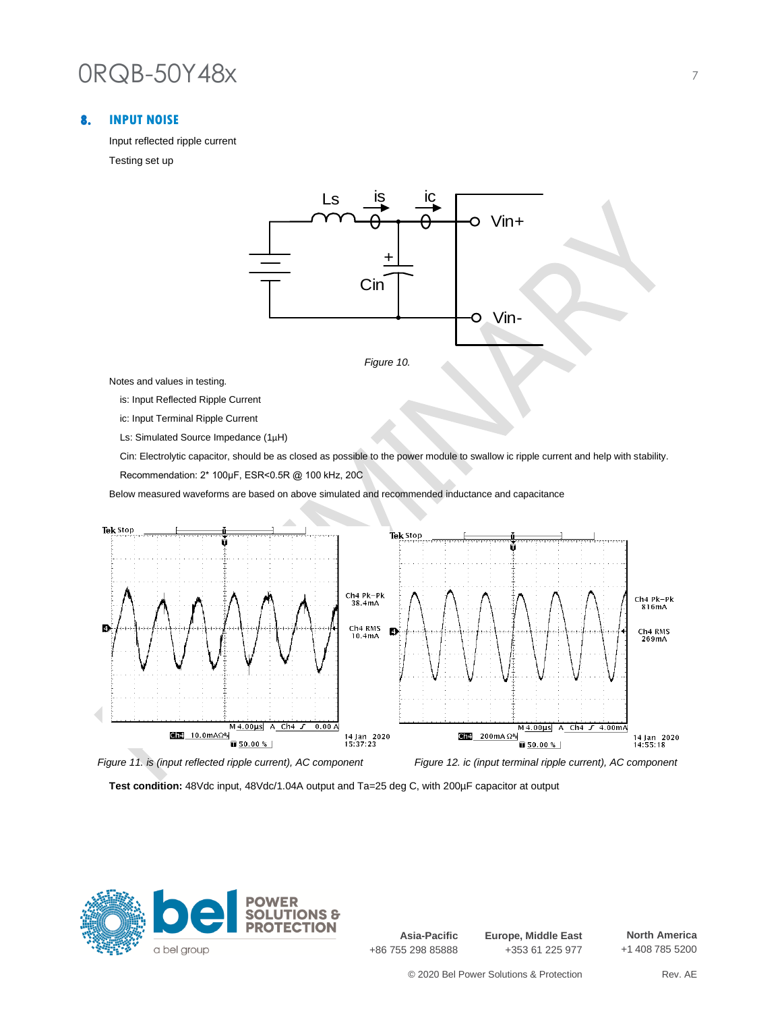### **8. INPUT NOISE**

Input reflected ripple current Testing set up



Notes and values in testing.

is: Input Reflected Ripple Current

ic: Input Terminal Ripple Current

Ls: Simulated Source Impedance (1μH)

Cin: Electrolytic capacitor, should be as closed as possible to the power module to swallow ic ripple current and help with stability. Recommendation: 2\* 100μF, ESR<0.5R @ 100 kHz, 20C

Below measured waveforms are based on above simulated and recommended inductance and capacitance



*Figure 11. is (input reflected ripple current), AC component Figure 12. ic (input terminal ripple current), AC component*

**Test condition:** 48Vdc input, 48Vdc/1.04A output and Ta=25 deg C, with 200µF capacitor at output



**Asia-Pacific** +86 755 298 85888 **Europe, Middle East** +353 61 225 977

**North America** +1 408 785 5200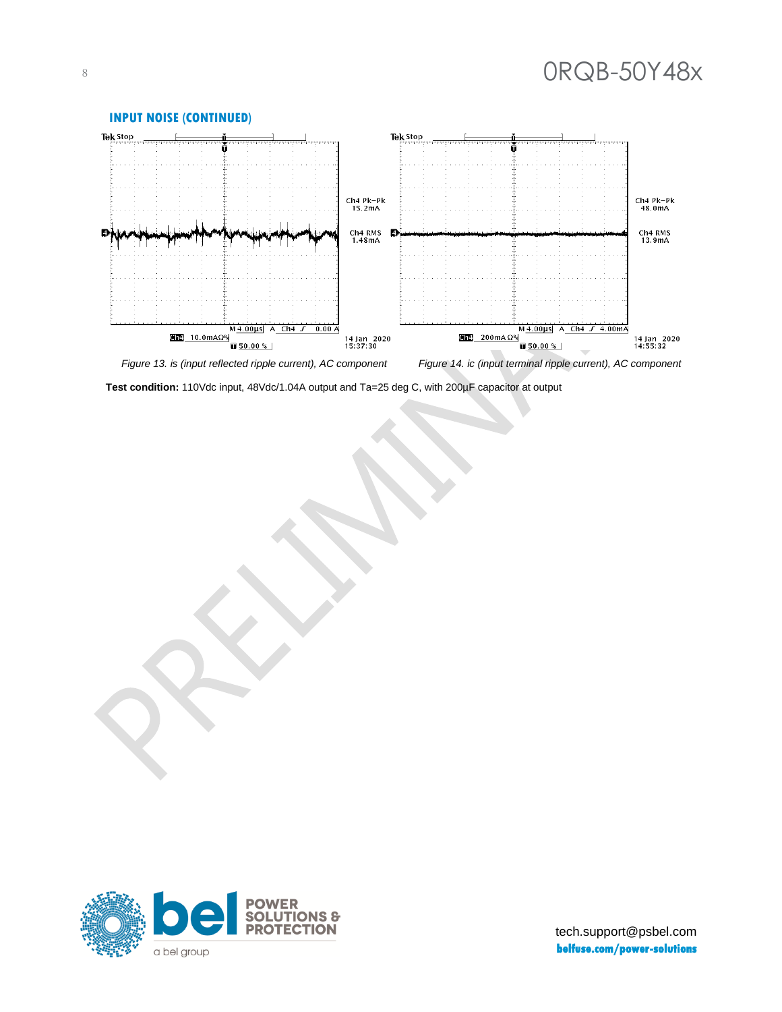

**Test condition:** 110Vdc input, 48Vdc/1.04A output and Ta=25 deg C, with 200µF capacitor at output

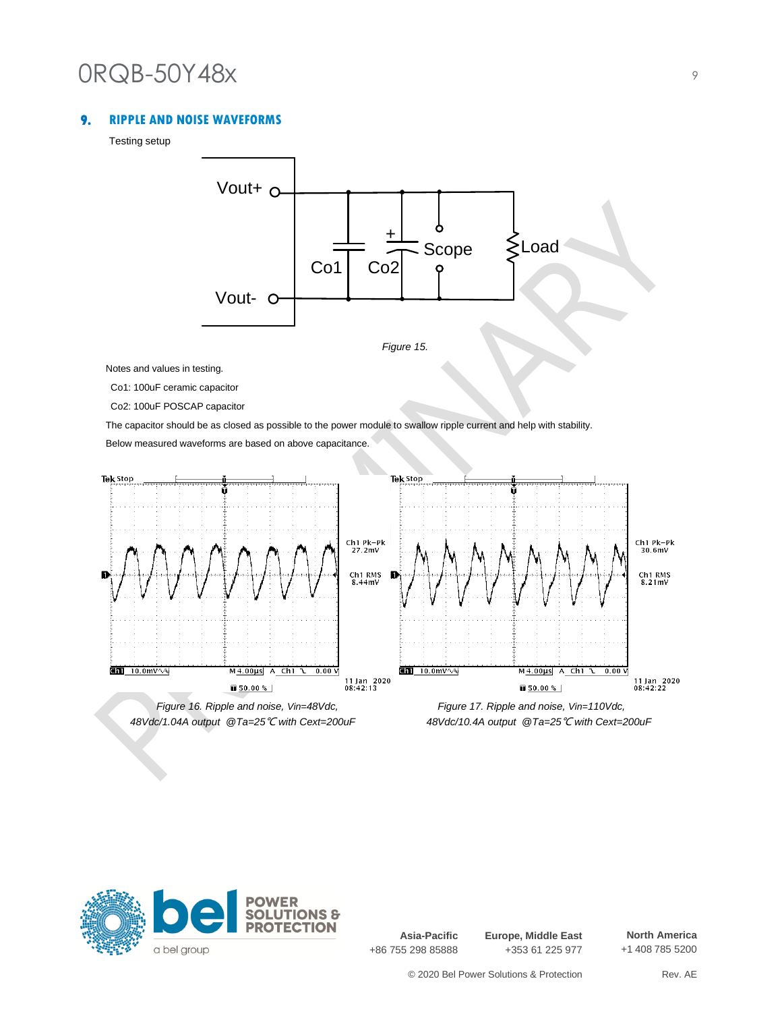### **9. RIPPLE AND NOISE WAVEFORMS**

Testing setup



#### *Figure 15.*

Notes and values in testing.

Co1: 100uF ceramic capacitor

Co2: 100uF POSCAP capacitor

The capacitor should be as closed as possible to the power module to swallow ripple current and help with stability.

Below measured waveforms are based on above capacitance.



*48Vdc/1.04A output @Ta=25*℃ *with Cext=200uF 48Vdc/10.4A output @Ta=25*℃ *with Cext=200uF*

*Figure 16. Ripple and noise, Vin=48Vdc, Figure 17. Ripple and noise, Vin=110Vdc,*



**Asia-Pacific** +86 755 298 85888 **Europe, Middle East** +353 61 225 977

**North America** +1 408 785 5200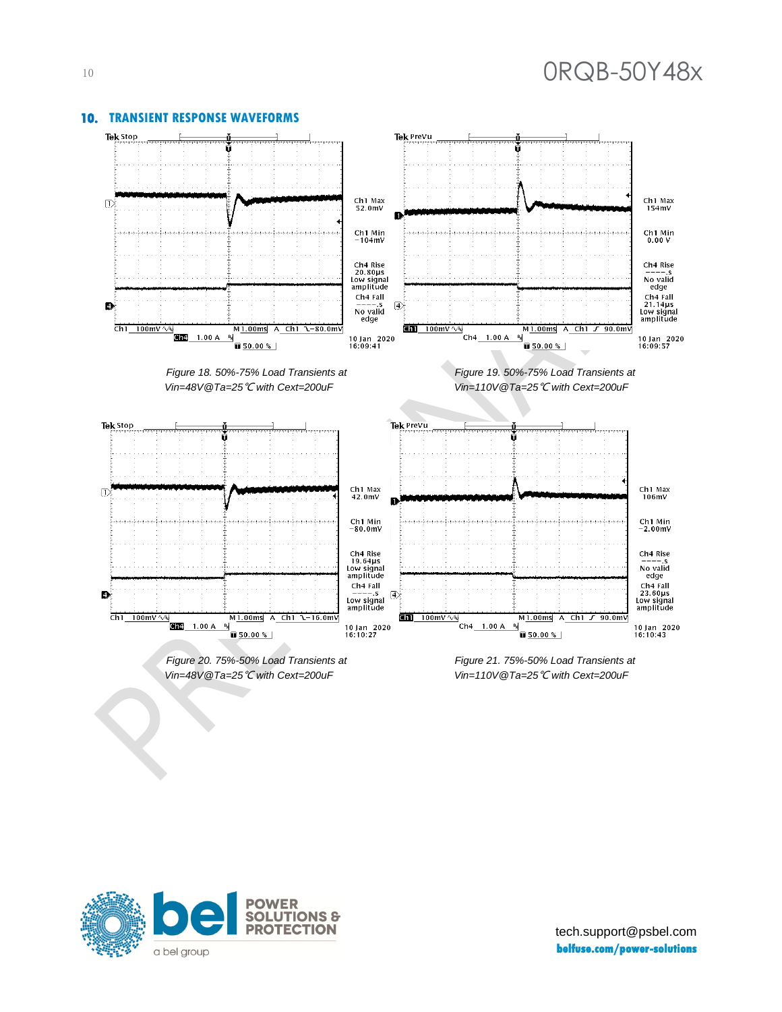

#### **10. TRANSIENT RESPONSE WAVEFORMS**

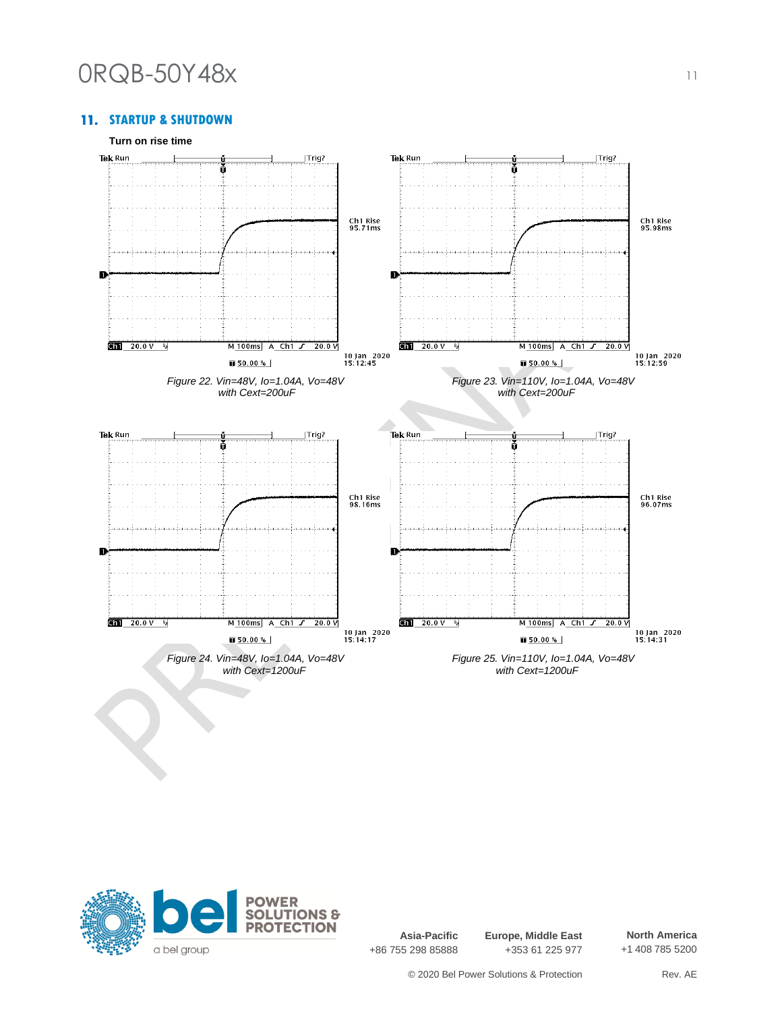### **11. STARTUP & SHUTDOWN**





**Asia-Pacific** +86 755 298 85888 **Europe, Middle East** +353 61 225 977

**North America** +1 408 785 5200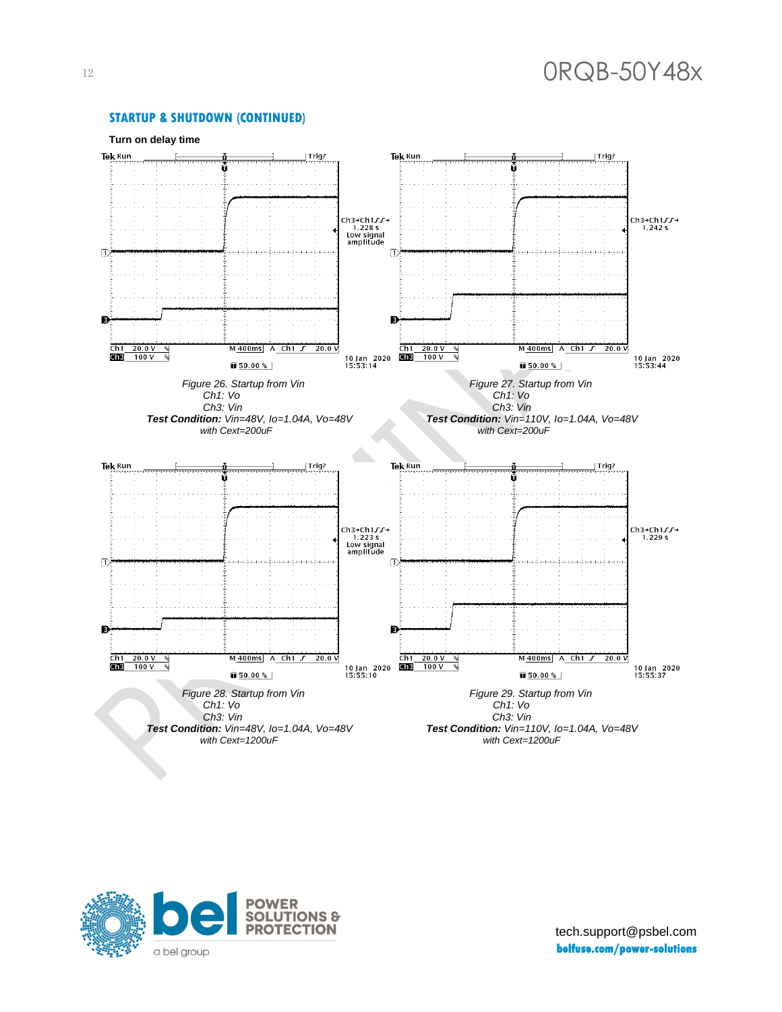

#### **STARTUP & SHUTDOWN (CONTINUED)**

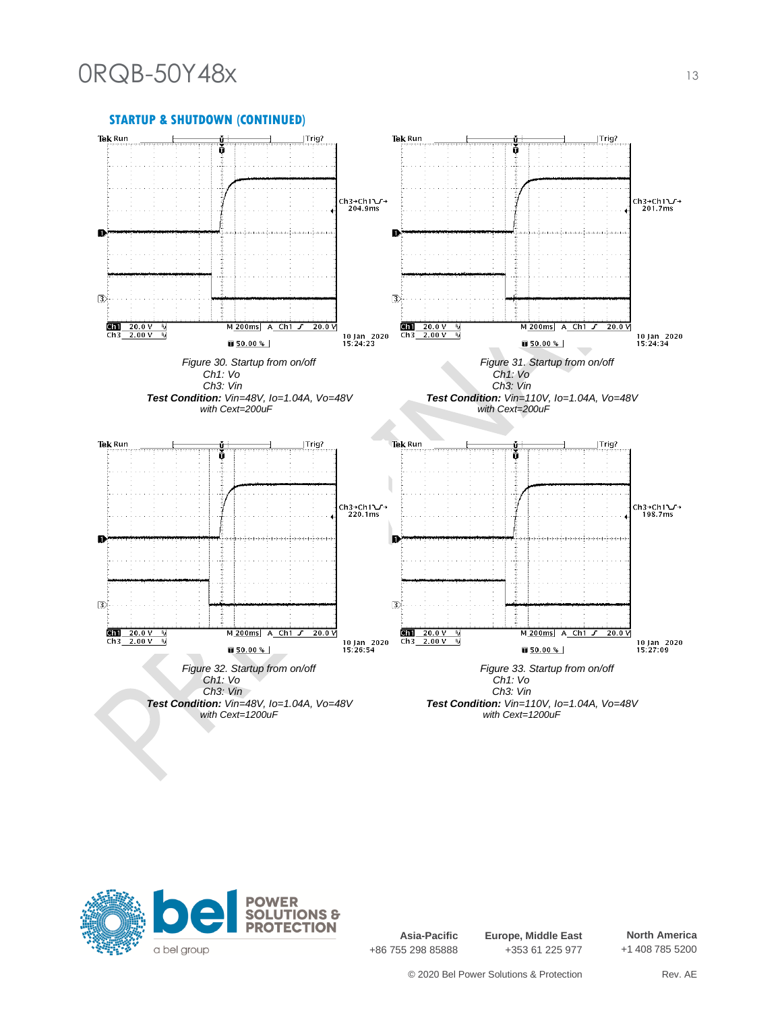



**Asia-Pacific** +86 755 298 85888 **Europe, Middle East** +353 61 225 977

**North America** +1 408 785 5200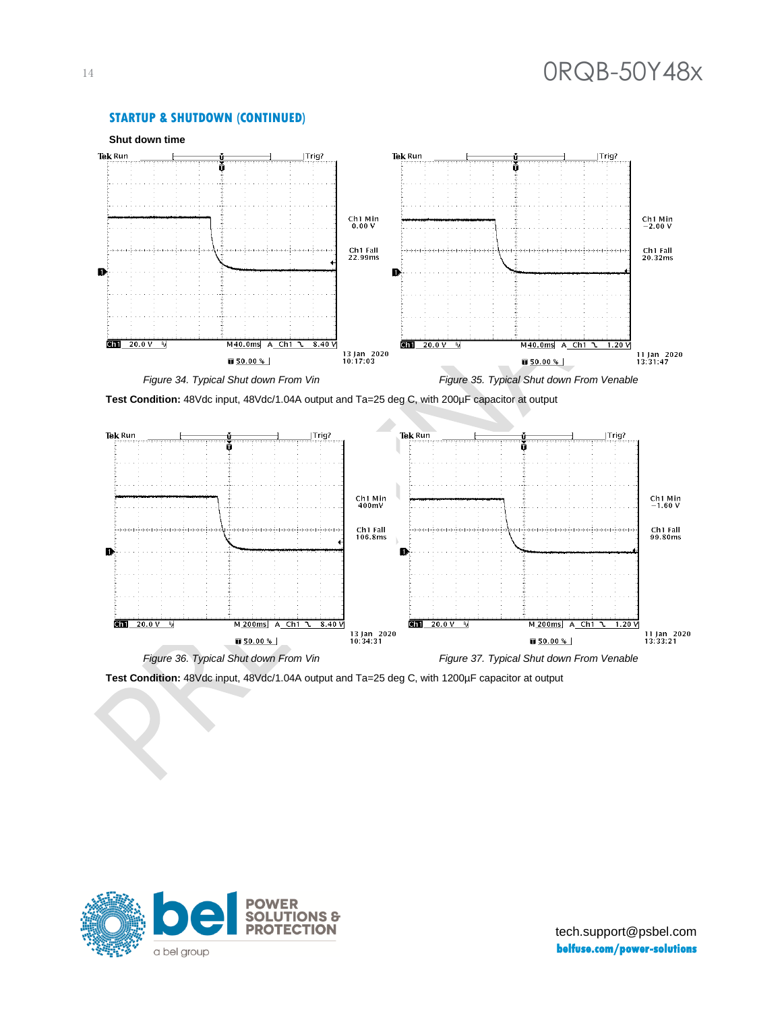### **STARTUP & SHUTDOWN (CONTINUED)**



**Test Condition:** 48Vdc input, 48Vdc/1.04A output and Ta=25 deg C, with 200µF capacitor at output



*Figure 36. Typical Shut down From Vin Figure 37. Typical Shut down From Venable*

**Test Condition:** 48Vdc input, 48Vdc/1.04A output and Ta=25 deg C, with 1200µF capacitor at output

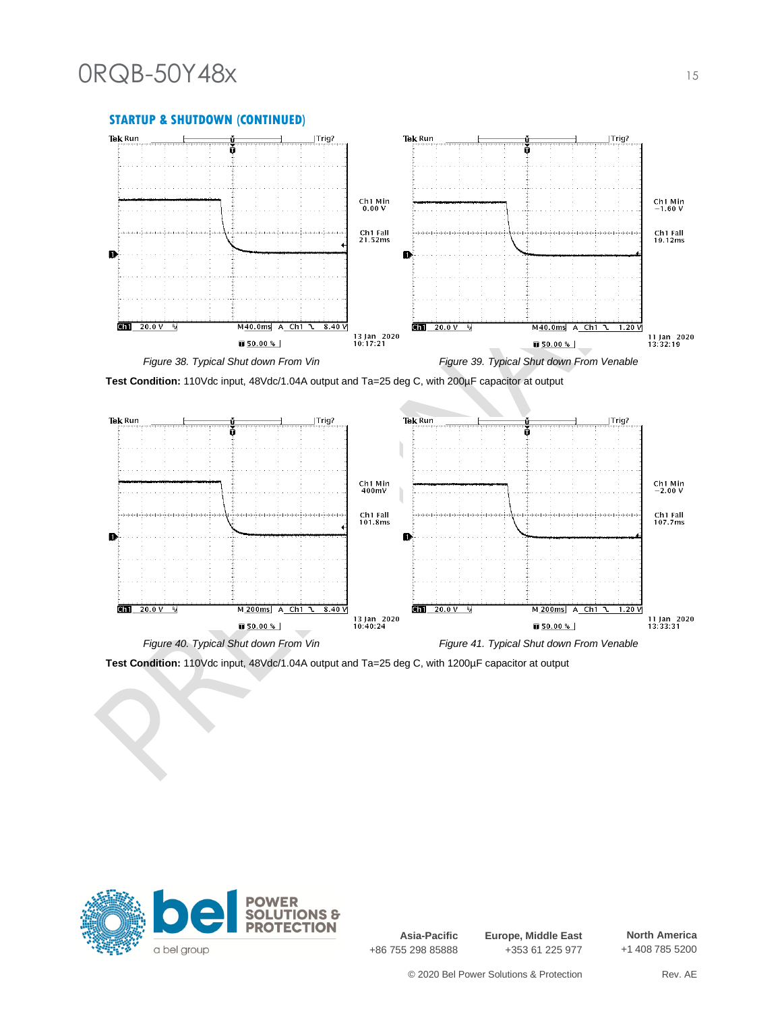

**Test Condition:** 110Vdc input, 48Vdc/1.04A output and Ta=25 deg C, with 200µF capacitor at output



**Test Condition:** 110Vdc input, 48Vdc/1.04A output and Ta=25 deg C, with 1200µF capacitor at output



**Asia-Pacific** +86 755 298 85888 **Europe, Middle East** +353 61 225 977

**North America** +1 408 785 5200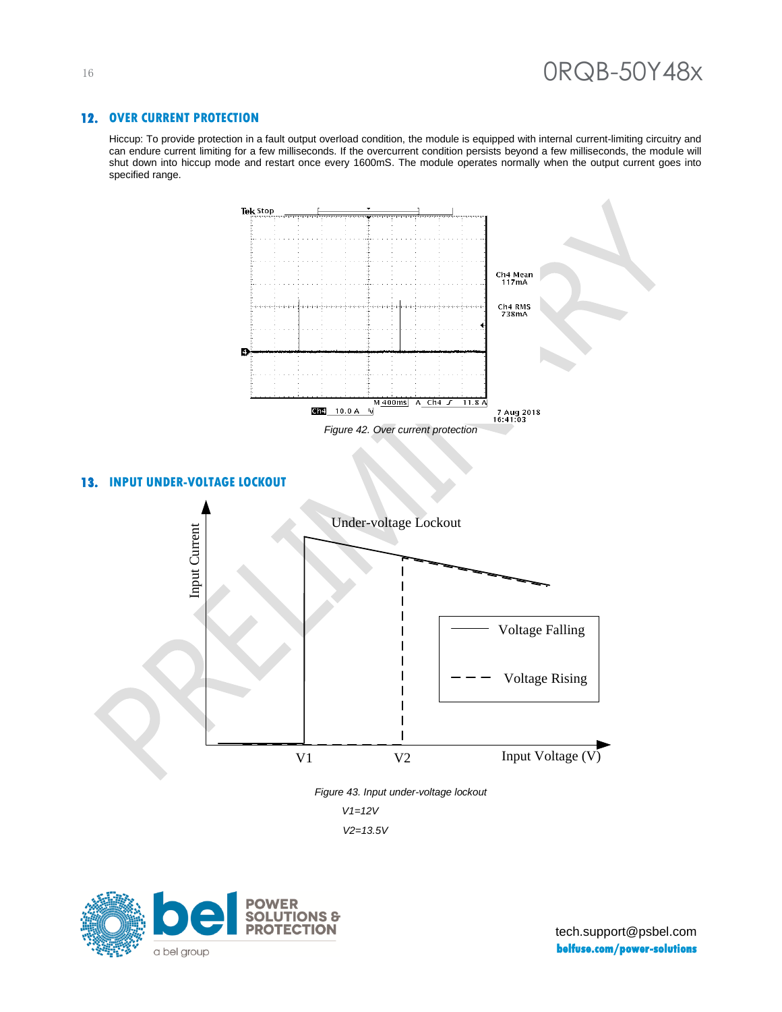#### **12. OVER CURRENT PROTECTION**

Hiccup: To provide protection in a fault output overload condition, the module is equipped with internal current-limiting circuitry and can endure current limiting for a few milliseconds. If the overcurrent condition persists beyond a few milliseconds, the module will shut down into hiccup mode and restart once every 1600mS. The module operates normally when the output current goes into specified range.



#### **13. INPUT UNDER-VOLTAGE LOCKOUT**



#### *Figure 43. Input under-voltage lockout*



*V2=13.5V*

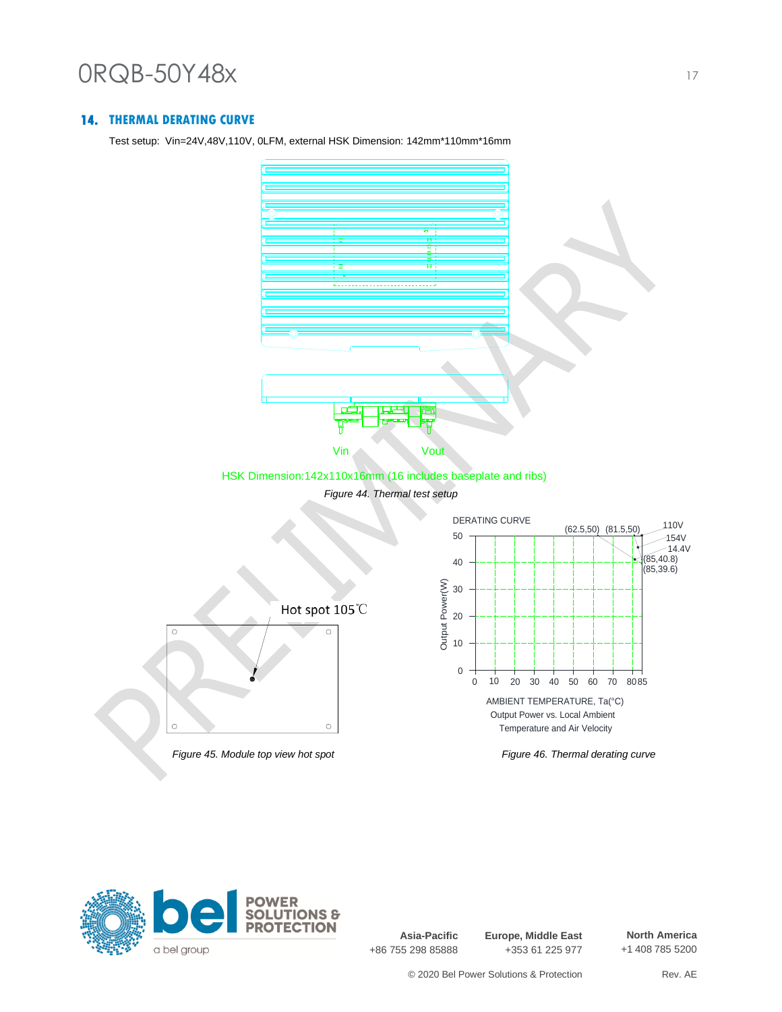### **14. THERMAL DERATING CURVE**

Test setup: Vin=24V,48V,110V, 0LFM, external HSK Dimension: 142mm\*110mm\*16mm





**Asia-Pacific** +86 755 298 85888 **Europe, Middle East** +353 61 225 977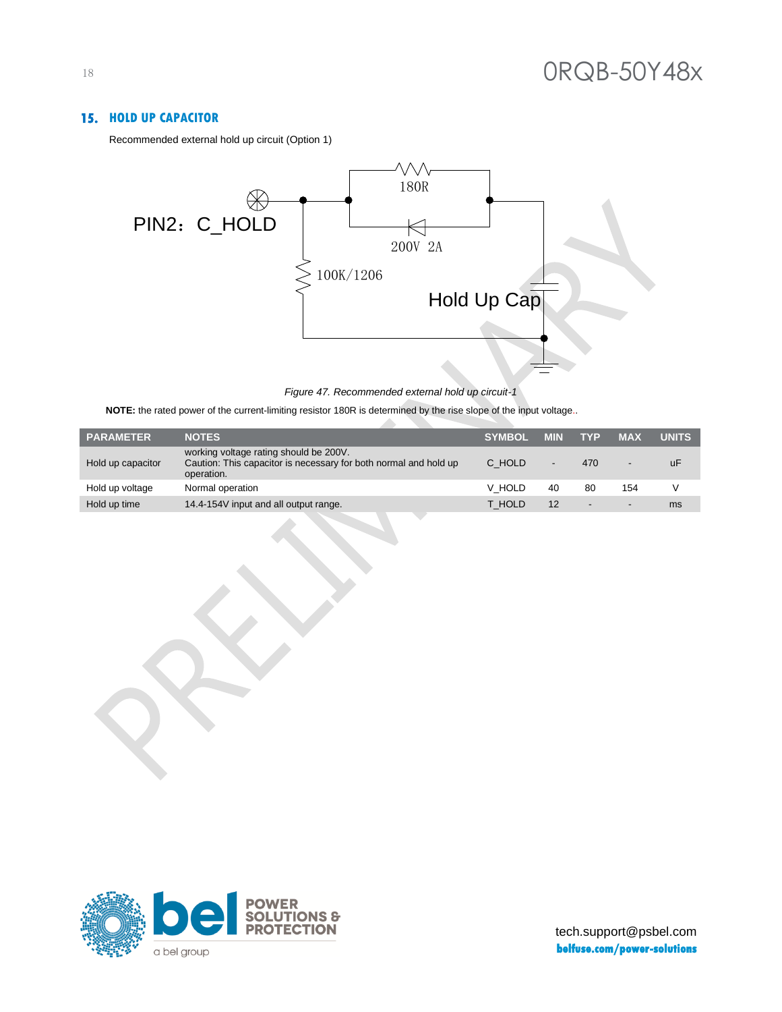#### **15. HOLD UP CAPACITOR**

Recommended external hold up circuit (Option 1)



*Figure 47. Recommended external hold up circuit-1*

**NOTE:** the rated power of the current-limiting resistor 180R is determined by the rise slope of the input voltage..

| <b>PARAMETER</b>  | <b>NOTES</b>                                                                                                             | <b>SYMBOL</b> | <b>MIN</b> | <b>TYP</b>               | <b>MAX</b>               | <b>UNITS</b> |
|-------------------|--------------------------------------------------------------------------------------------------------------------------|---------------|------------|--------------------------|--------------------------|--------------|
| Hold up capacitor | working voltage rating should be 200V.<br>Caution: This capacitor is necessary for both normal and hold up<br>operation. | C HOLD        |            | 470                      | $\overline{\phantom{0}}$ | uF           |
| Hold up voltage   | Normal operation                                                                                                         | V HOLD        | 40         | 80                       | 154                      | V            |
| Hold up time      | 14.4-154V input and all output range.                                                                                    | T HOLD        | 12         | $\overline{\phantom{0}}$ | $\overline{\phantom{a}}$ | ms           |

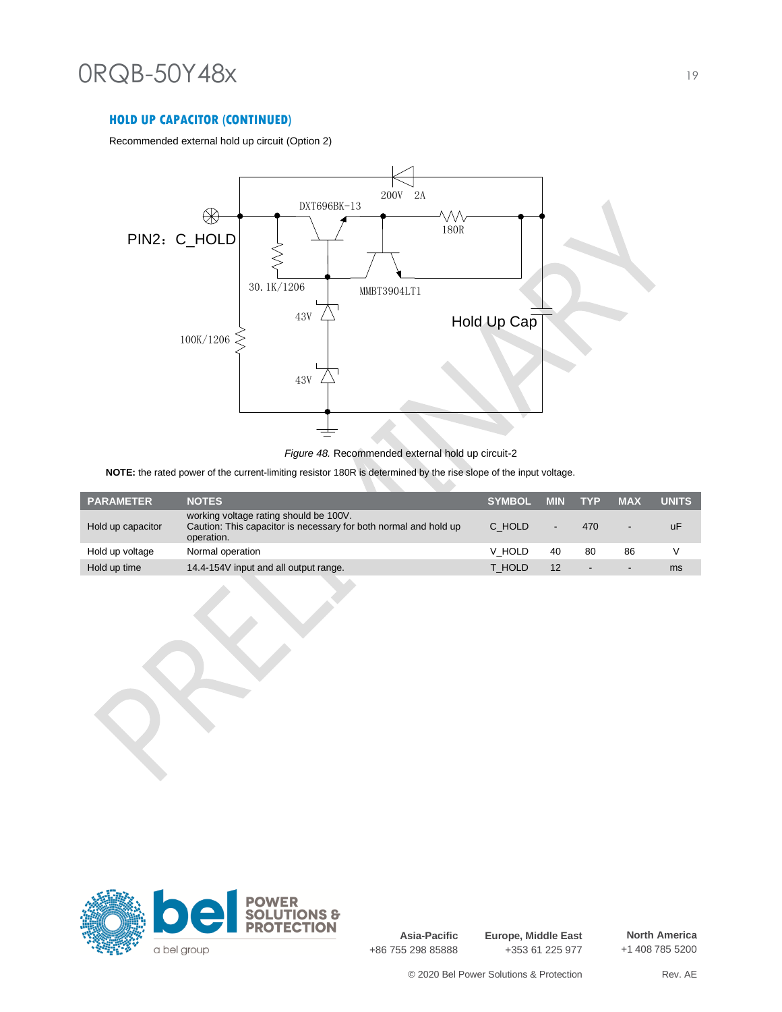### **HOLD UP CAPACITOR (CONTINUED)**

Recommended external hold up circuit (Option 2)



*Figure 48.* Recommended external hold up circuit-2

**NOTE:** the rated power of the current-limiting resistor 180R is determined by the rise slope of the input voltage.

| <b>PARAMETER</b>  | <b>NOTES</b>                                                                                                             | <b>SYMBOL</b> | <b>MIN</b> | <b>TYP</b>               | <b>MAX</b>               | <b>UNITS</b> |
|-------------------|--------------------------------------------------------------------------------------------------------------------------|---------------|------------|--------------------------|--------------------------|--------------|
| Hold up capacitor | working voltage rating should be 100V.<br>Caution: This capacitor is necessary for both normal and hold up<br>operation. | C HOLD        |            | 470                      | $\overline{\phantom{0}}$ | uF           |
| Hold up voltage   | Normal operation                                                                                                         | V HOLD        | 40         | 80                       | 86                       | V            |
| Hold up time      | 14.4-154V input and all output range.                                                                                    | T HOLD        | 12         | $\overline{\phantom{0}}$ | $\overline{\phantom{0}}$ | ms           |



**Asia-Pacific** +86 755 298 85888 **Europe, Middle East** +353 61 225 977

**North America** +1 408 785 5200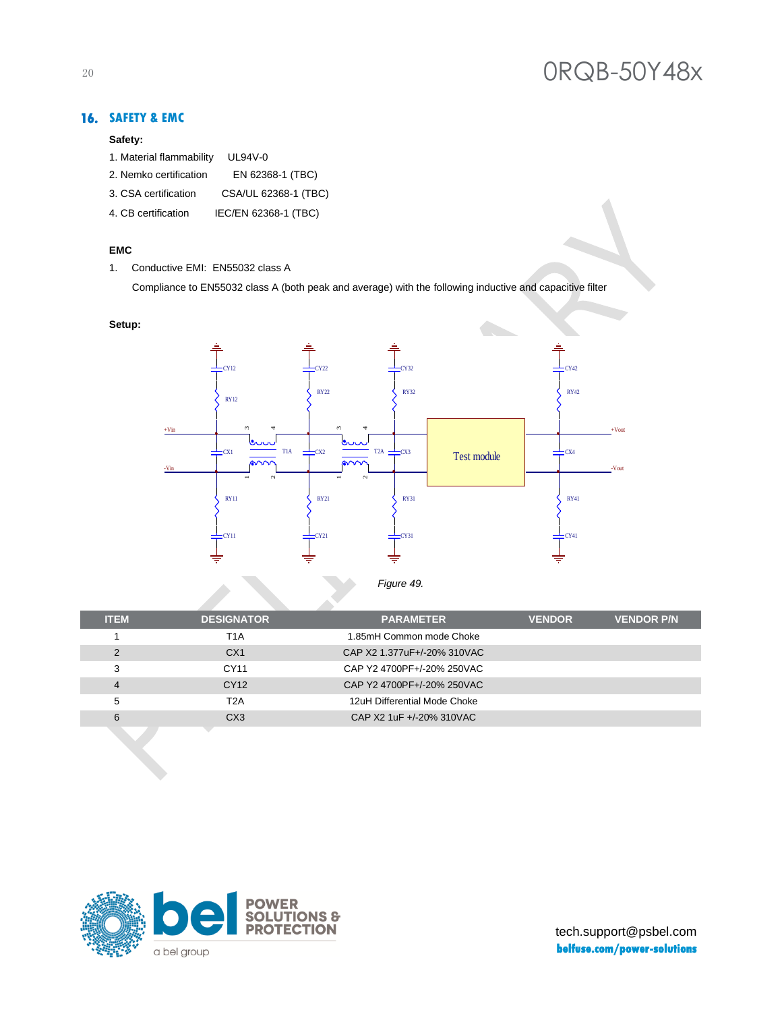### **16. SAFETY & EMC**

#### **Safety:**

| 1. Material flammability UL94V-0 |                      |
|----------------------------------|----------------------|
| 2. Nemko certification           | EN 62368-1 (TBC)     |
| 3. CSA certification             | CSA/UL 62368-1 (TBC) |
| 4. CB certification              | IEC/EN 62368-1 (TBC) |

#### **EMC**

1. Conductive EMI: EN55032 class A

Compliance to EN55032 class A (both peak and average) with the following inductive and capacitive filter

#### **Setup:**



| <b>Figure 49.</b> |  |
|-------------------|--|
|-------------------|--|

| <b>ITEM</b>    | <b>DESIGNATOR</b> | <b>PARAMETER</b>             | <b>VENDOR</b> | <b>VENDOR P/N</b> |
|----------------|-------------------|------------------------------|---------------|-------------------|
|                | T1A               | 1.85mH Common mode Choke     |               |                   |
| 2              | CX <sub>1</sub>   | CAP X2 1.377uF+/-20% 310VAC  |               |                   |
| 3              | CY11              | CAP Y2 4700PF+/-20% 250VAC   |               |                   |
| $\overline{4}$ | CY <sub>12</sub>  | CAP Y2 4700PF+/-20% 250VAC   |               |                   |
| 5              | T <sub>2</sub> A  | 12uH Differential Mode Choke |               |                   |
| 6              | C <sub>X3</sub>   | CAP X2 1uF +/-20% 310VAC     |               |                   |
|                |                   |                              |               |                   |

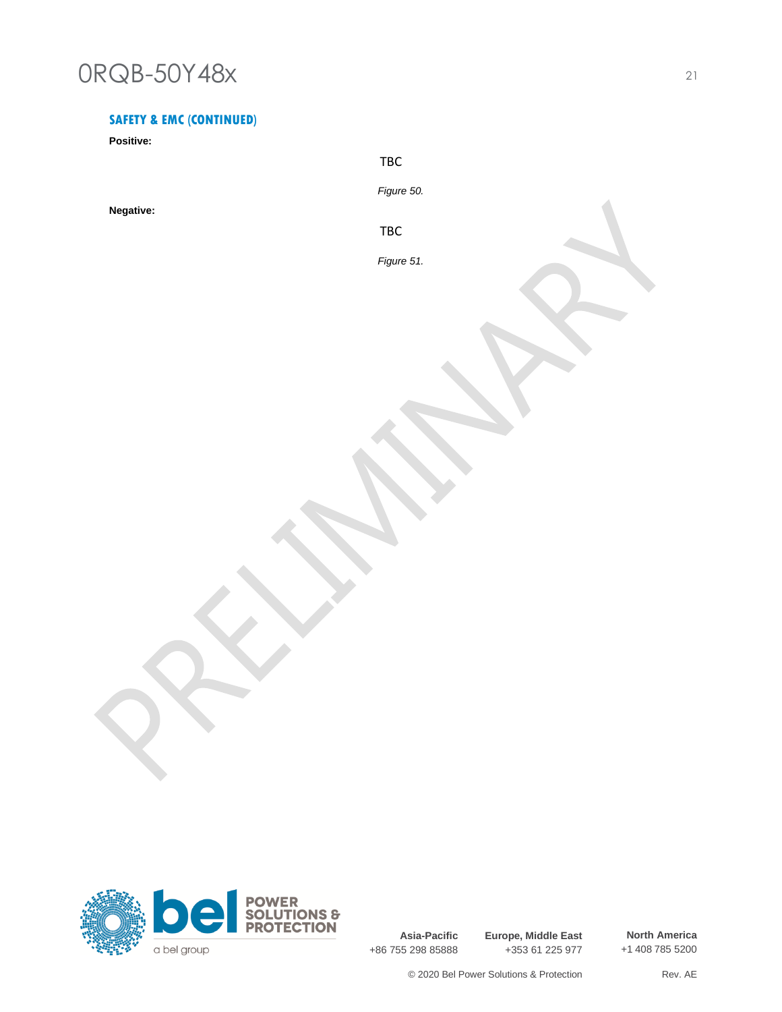### **SAFETY & EMC (CONTINUED)**

**Positive:**

**Negative:**

TBC

*Figure 50.*

TBC

*Figure 51.*



**Asia-Pacific** +86 755 298 85888 **Europe, Middle East** +353 61 225 977

**North America** +1 408 785 5200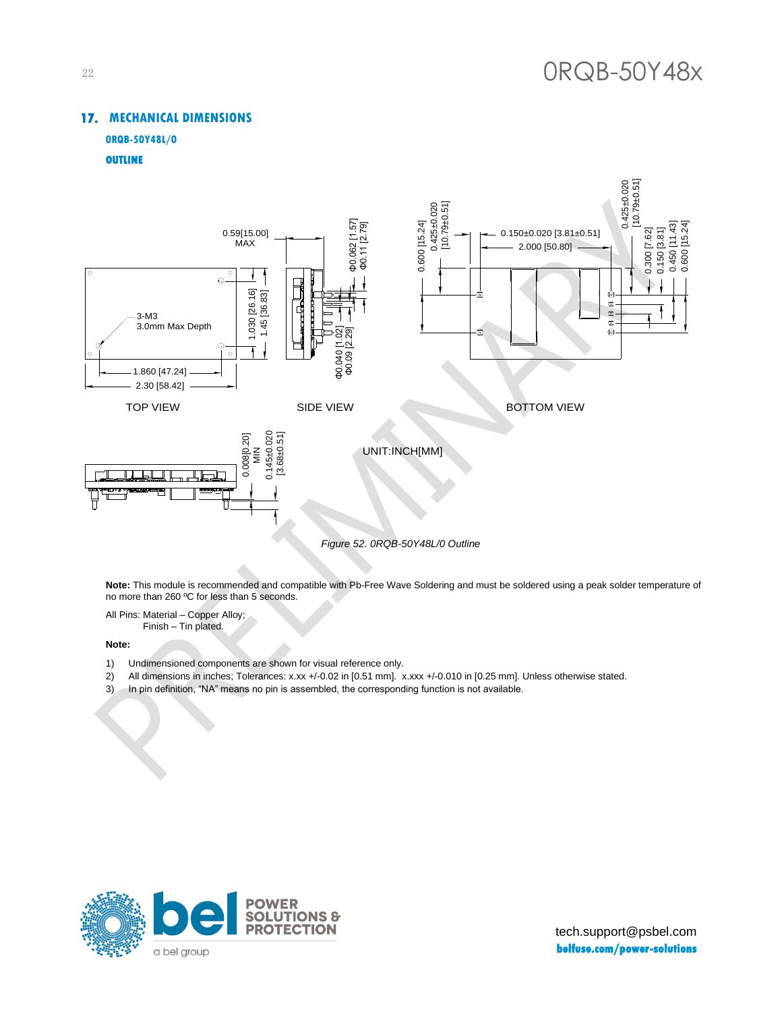### **17. MECHANICAL DIMENSIONS**



#### **OUTLINE**



**Note:** This module is recommended and compatible with Pb-Free Wave Soldering and must be soldered using a peak solder temperature of no more than 260 ºC for less than 5 seconds.

All Pins: Material – Copper Alloy; Finish – Tin plated.

**Note:**

- 1) Undimensioned components are shown for visual reference only.
- 2) All dimensions in inches; Tolerances: x.xx +/-0.02 in [0.51 mm]. x.xxx +/-0.010 in [0.25 mm]. Unless otherwise stated.<br>3) In pin definition, "NA" means no pin is assembled, the corresponding function is not available.
- 

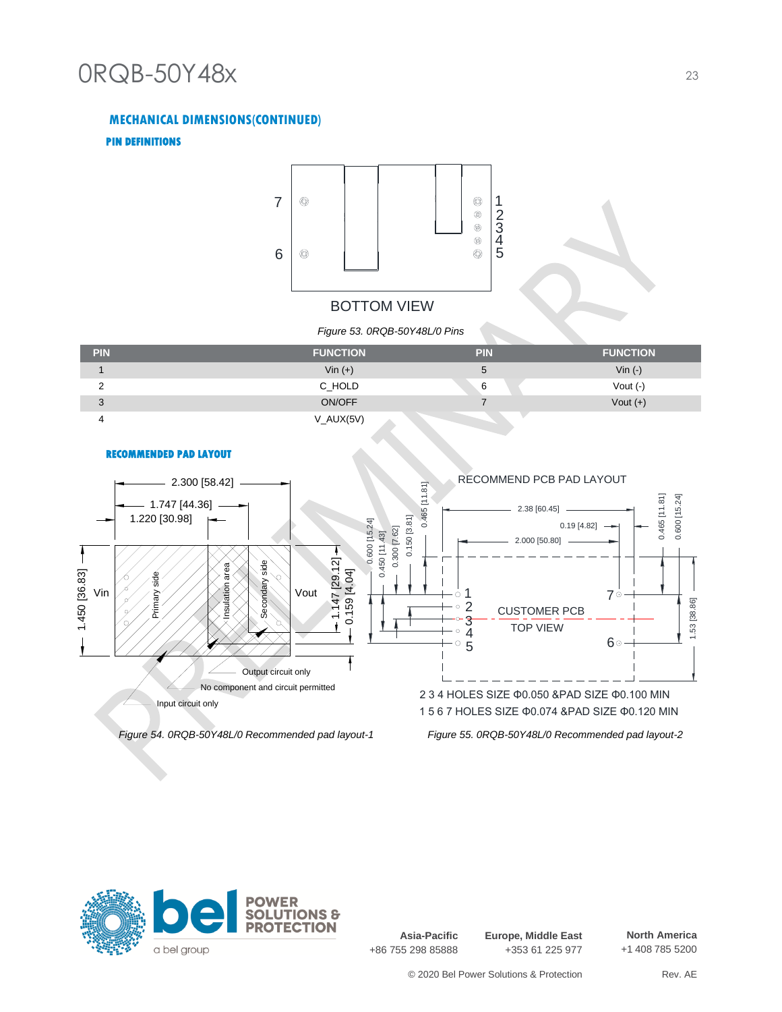### **MECHANICAL DIMENSIONS(CONTINUED)**

### **PIN DEFINITIONS**

**RECOMMENDED PAD LAYOUT** 



### BOTTOM VIEW

#### *Figure 53. 0RQB-50Y48L/0 Pins*

| <b>PIN</b> | <b>FUNCTION</b> | <b>PIN</b> | <b>FUNCTION</b> |
|------------|-----------------|------------|-----------------|
|            | Vin $(+)$       | G          | Vin $(-)$       |
| $\sim$     | C_HOLD          | 6          | Vout $(-)$      |
| ◠<br>J     | ON/OFF          |            | Vout $(+)$      |
|            | V_AUX(5V)       |            |                 |



*Figure 54. 0RQB-50Y48L/0 Recommended pad layout-1 Figure 55. 0RQB-50Y48L/0 Recommended pad layout-2*



**Asia-Pacific** +86 755 298 85888 **Europe, Middle East** +353 61 225 977

**North America** +1 408 785 5200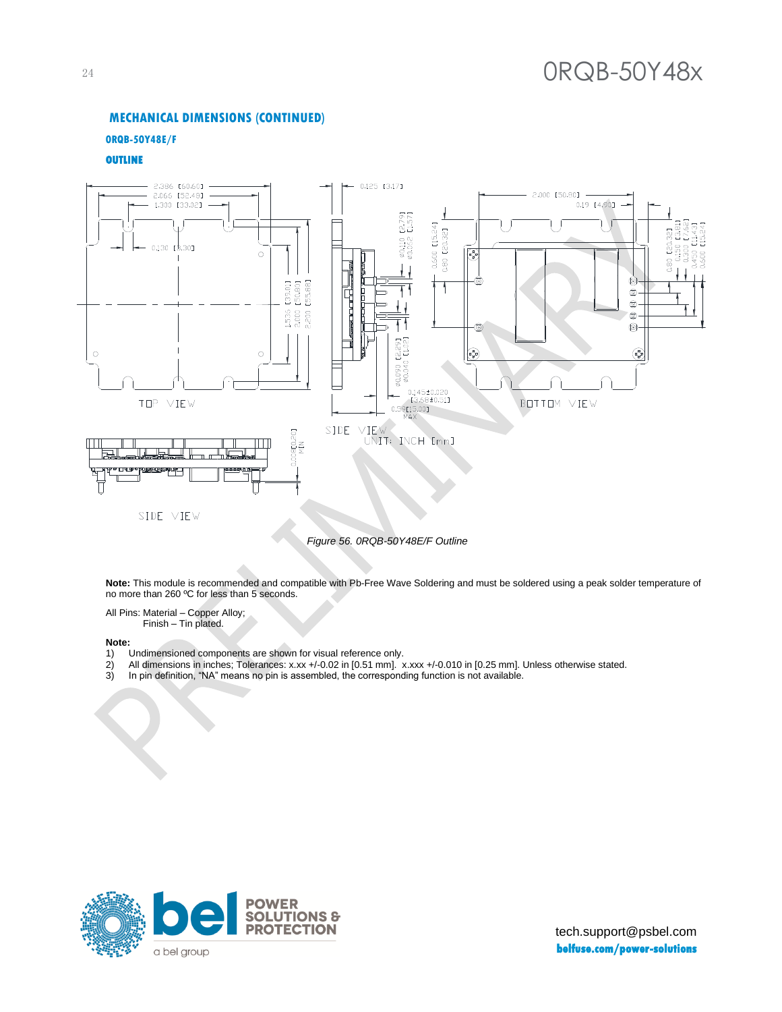#### **MECHANICAL DIMENSIONS (CONTINUED)**

#### **0RQB-50Y48E/F**

#### **OUTLINE**





**Note:** This module is recommended and compatible with Pb-Free Wave Soldering and must be soldered using a peak solder temperature of no more than 260 ºC for less than 5 seconds.

All Pins: Material – Copper Alloy; Finish – Tin plated.

#### **Note:**

- 1) Undimensioned components are shown for visual reference only.<br>2) All dimensions in inches; Tolerances: x.xx +/-0.02 in [0.51 mm]. x
- 2) All dimensions in inches; Tolerances: x.xx +/-0.02 in [0.51 mm]. x.xxx +/-0.010 in [0.25 mm]. Unless otherwise stated.<br>3) In pin definition, "NA" means no pin is assembled, the corresponding function is not available.
- In pin definition, "NA" means no pin is assembled, the corresponding function is not available.

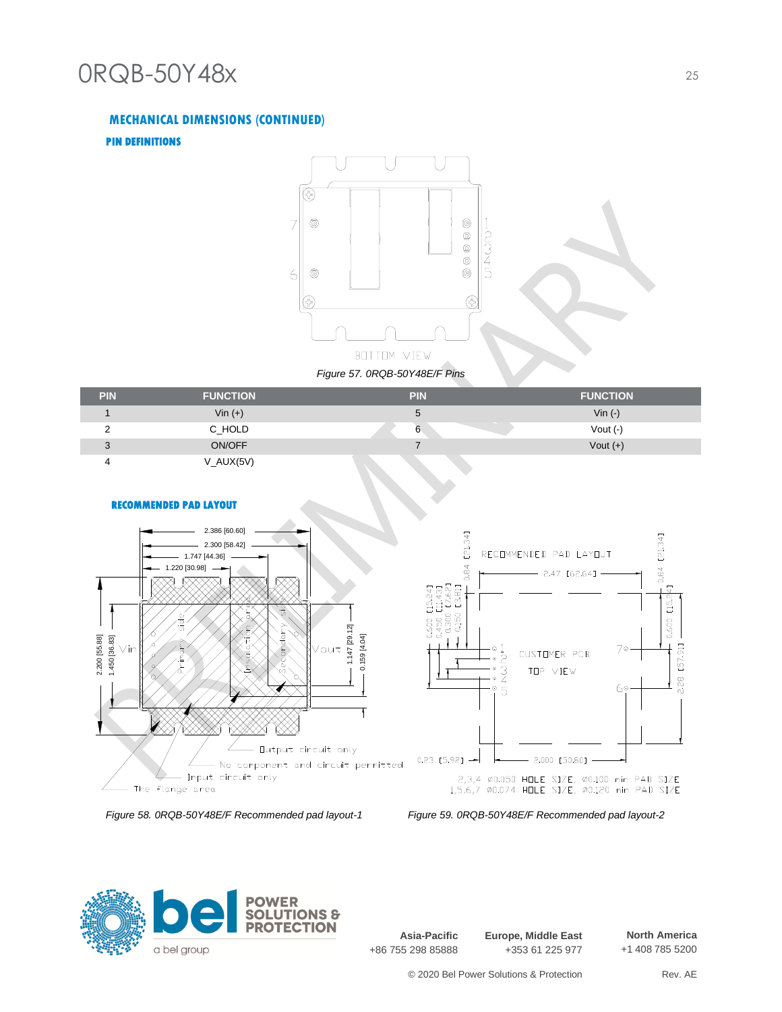### **MECHANICAL DIMENSIONS (CONTINUED)**

### **PIN DEFINITIONS**



*Figure 57. 0RQB-50Y48E/F Pins*

| <b>PIN</b> | <b>FUNCTION</b> | <b>PIN</b> | <b>FUNCTION</b> |
|------------|-----------------|------------|-----------------|
|            | Vin $(+)$       | b          | Vin $(-)$       |
|            | C_HOLD          | 6          | Vout $(-)$      |
|            | ON/OFF          |            | Vout $(+)$      |
|            | V_AUX(5V)       |            |                 |



*Figure 58. 0RQB-50Y48E/F Recommended pad layout-1 Figure 59. 0RQB-50Y48E/F Recommended pad layout-2*





**Asia-Pacific** +86 755 298 85888 **Europe, Middle East** +353 61 225 977

**North America** +1 408 785 5200